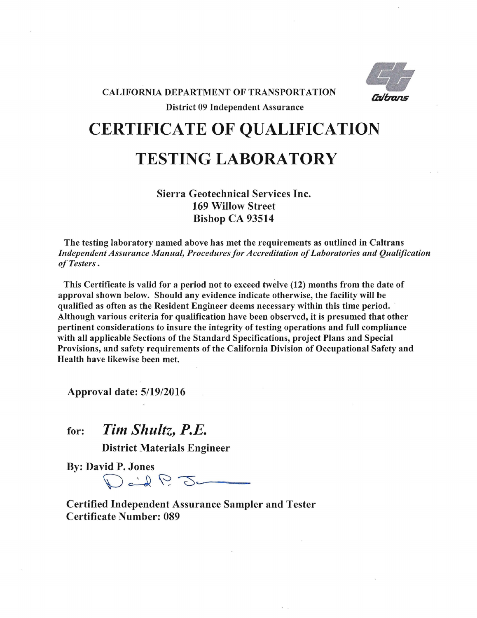

## **CERTIFICATE OF QUALIFICATION**

## **TESTING LABORATORY**

## Sierra Geotechnical Services Inc. 169 Willow Street Bishop CA 93514

The testing laboratory named above has met the requirements as outlined in Caltrans *Independent Assurance Manual, Procedures for Accreditation of Laboratories and Qualification of Testers* .

This Certificate is valid for a period not to exceed twelve (12) months from the date of approval shown below. Should any evidence indicate otherwise, the facility will be qualified as often as the Resident Engineer deems necessary within this time period. Although various criteria for qualification have been observed, it is presumed that other pertinent considerations to insure the integrity of testing operations and full compliance with all applicable Sections of the Standard Specifications, project Plans and Special Provisions, and safety requirements of the California Division of Occupational Safety and Health have likewise been met.

Approval date: *5/19/2016* 

for: *Tim Shultz, P.E.* 

District Materials Engineer

By: David P. Jones

 $\int \vec{u} \cdot d\vec{v} \, d\vec{v} \, d\vec{v}$ 

Certified Independent Assurance Sampler and Tester Certificate Number: 089